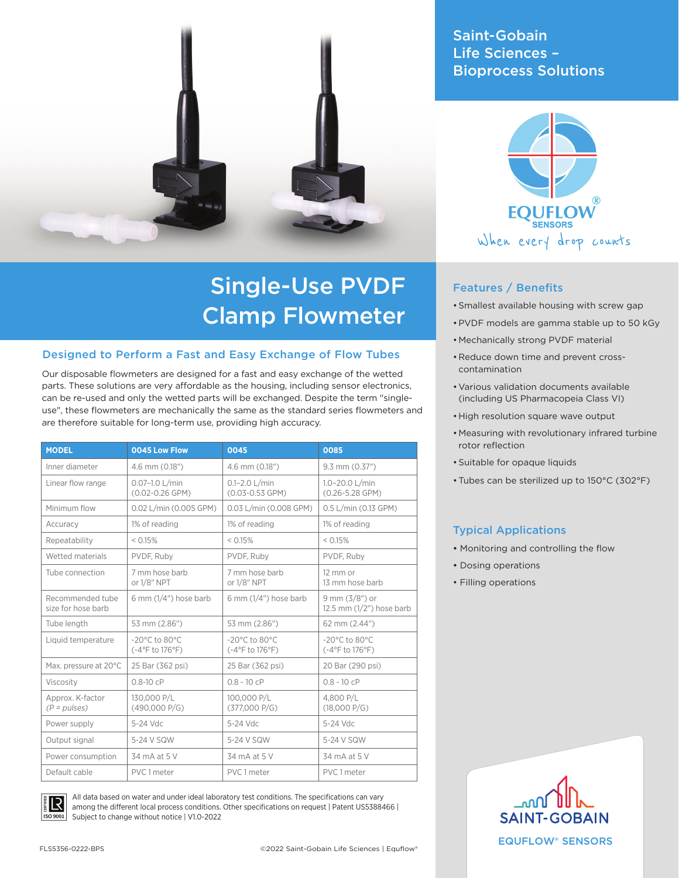# Saint-Gobain Life Sciences – Bioprocess Solutions



# Features / Benefits

- •Smallest available housing with screw gap
- •PVDF models are gamma stable up to 50 kGy
- Mechanically strong PVDF material
- Reduce down time and prevent crosscontamination
- •Various validation documents available (including US Pharmacopeia Class VI)
- •High resolution square wave output
- Measuring with revolutionary infrared turbine rotor reflection
- •Suitable for opaque liquids
- •Tubes can be sterilized up to 150°C (302°F)

### Typical Applications

- Monitoring and controlling the flow
- Dosing operations
- Filling operations





# Single-Use PVDF Clamp Flowmeter

### Designed to Perform a Fast and Easy Exchange of Flow Tubes

Our disposable flowmeters are designed for a fast and easy exchange of the wetted parts. These solutions are very affordable as the housing, including sensor electronics, can be re-used and only the wetted parts will be exchanged. Despite the term "singleuse", these flowmeters are mechanically the same as the standard series flowmeters and are therefore suitable for long-term use, providing high accuracy.

| <b>MODEL</b>                           | 0045 Low Flow                                                         | 0045                                                  | 0085                                                                       |
|----------------------------------------|-----------------------------------------------------------------------|-------------------------------------------------------|----------------------------------------------------------------------------|
| Inner diameter                         | 4.6 mm (0.18")                                                        | 4.6 mm (0.18")                                        | $9.3$ mm $(0.37")$                                                         |
| Linear flow range                      | $0.07 - 1.0$ L/min<br>$(0.02 - 0.26$ GPM)                             | $0.1 - 2.0$ L/min<br>$(0.03 - 0.53$ GPM)              | $1.0 - 20.0$ L/min<br>$(0.26 - 5.28$ GPM)                                  |
| Minimum flow                           | 0.02 L/min (0.005 GPM)                                                | 0.03 L/min (0.008 GPM)                                | 0.5 L/min (0.13 GPM)                                                       |
| Accuracy                               | 1% of reading                                                         | 1% of reading                                         | 1% of reading                                                              |
| Repeatability                          | < 0.15%                                                               | < 0.15%                                               | < 0.15%                                                                    |
| Wetted materials                       | PVDF. Ruby                                                            | PVDF. Ruby                                            | PVDF. Ruby                                                                 |
| Tube connection                        | 7 mm hose barb<br>or 1/8" NPT                                         | 7 mm hose barb<br>or 1/8" NPT                         | 12 mm or<br>13 mm hose barb                                                |
| Recommended tube<br>size for hose barb | 6 mm $(1/4")$ hose barb                                               | 6 mm $(1/4")$ hose barb                               | 9 mm $(3/8")$ or<br>12.5 mm $(1/2")$ hose barb                             |
| Tube length                            | 53 mm (2.86")                                                         | 53 mm (2.86")                                         | 62 mm (2.44")                                                              |
| Liquid temperature                     | $-20^{\circ}$ C to 80 $^{\circ}$ C<br>$(-4^{\circ}F to 176^{\circ}F)$ | $-20^{\circ}$ C to 80 $^{\circ}$ C<br>(-4°F to 176°F) | $-20^{\circ}$ C to 80 $^{\circ}$ C<br>$(-4^{\circ}$ F to 176 $^{\circ}$ F) |
| Max. pressure at 20°C                  | 25 Bar (362 psi)                                                      | 25 Bar (362 psi)                                      | 20 Bar (290 psi)                                                           |
| Viscosity                              | $0.8 - 10$ cP                                                         | $0.8 - 10$ cP                                         | $0.8 - 10$ cP                                                              |
| Approx. K-factor<br>$(P = pulses)$     | 130.000 P/L<br>(490,000 P/G)                                          | 100,000 P/L<br>(377,000 P/G)                          | 4.800 P/L<br>(18,000 P/G)                                                  |
| Power supply                           | 5-24 Vdc                                                              | 5-24 Vdc                                              | 5-24 Vdc                                                                   |
| Output signal                          | 5-24 V SQW                                                            | 5-24 V SQW                                            | 5-24 V SQW                                                                 |
| Power consumption                      | 34 mA at 5 V                                                          | 34 mA at 5 V                                          | 34 mA at 5 V                                                               |
| Default cable                          | PVC 1 meter                                                           | PVC 1 meter                                           | PVC 1 meter                                                                |



All data based on water and under ideal laboratory test conditions. The specifications can vary among the different local process conditions. Other specifications on request | Patent US5388466 | Subject to change without notice | V1.0-2022